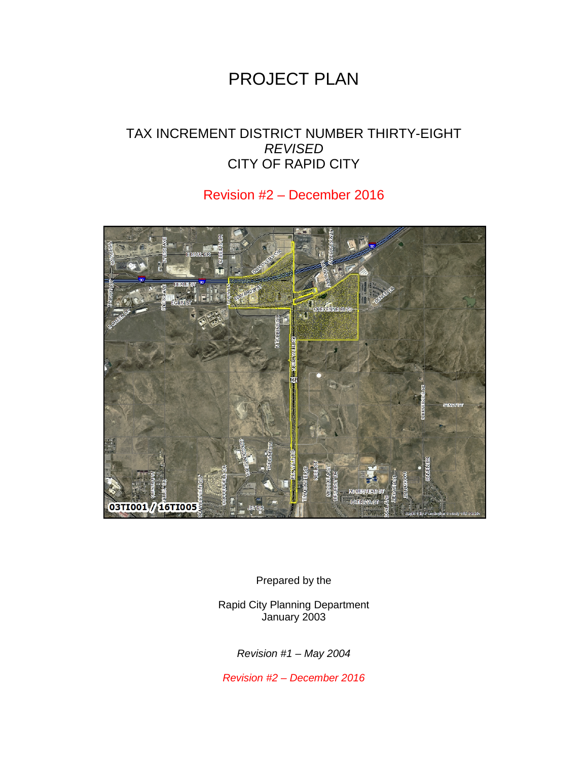# PROJECT PLAN

# TAX INCREMENT DISTRICT NUMBER THIRTY-EIGHT *REVISED* CITY OF RAPID CITY

# Revision #2 – December 2016



Prepared by the

Rapid City Planning Department January 2003

*Revision #1 – May 2004*

*Revision #2 – December 2016*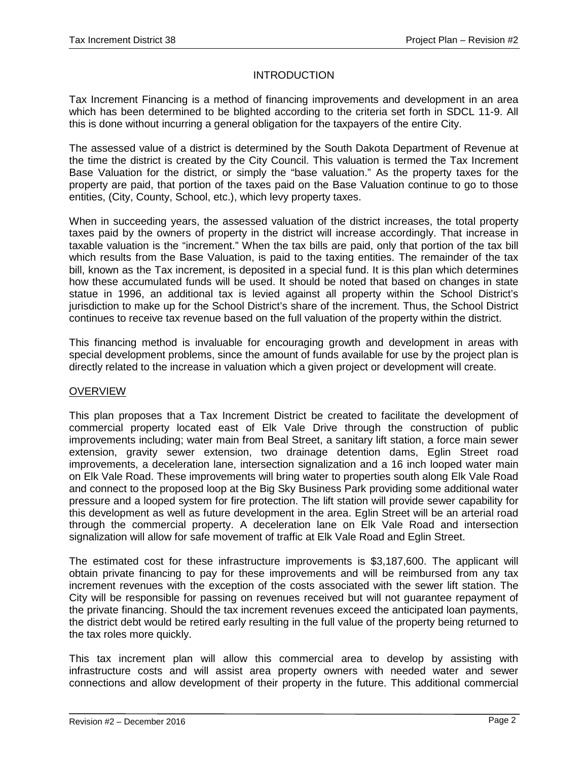## **INTRODUCTION**

Tax Increment Financing is a method of financing improvements and development in an area which has been determined to be blighted according to the criteria set forth in SDCL 11-9. All this is done without incurring a general obligation for the taxpayers of the entire City.

The assessed value of a district is determined by the South Dakota Department of Revenue at the time the district is created by the City Council. This valuation is termed the Tax Increment Base Valuation for the district, or simply the "base valuation." As the property taxes for the property are paid, that portion of the taxes paid on the Base Valuation continue to go to those entities, (City, County, School, etc.), which levy property taxes.

When in succeeding years, the assessed valuation of the district increases, the total property taxes paid by the owners of property in the district will increase accordingly. That increase in taxable valuation is the "increment." When the tax bills are paid, only that portion of the tax bill which results from the Base Valuation, is paid to the taxing entities. The remainder of the tax bill, known as the Tax increment, is deposited in a special fund. It is this plan which determines how these accumulated funds will be used. It should be noted that based on changes in state statue in 1996, an additional tax is levied against all property within the School District's jurisdiction to make up for the School District's share of the increment. Thus, the School District continues to receive tax revenue based on the full valuation of the property within the district.

This financing method is invaluable for encouraging growth and development in areas with special development problems, since the amount of funds available for use by the project plan is directly related to the increase in valuation which a given project or development will create.

#### **OVERVIEW**

This plan proposes that a Tax Increment District be created to facilitate the development of commercial property located east of Elk Vale Drive through the construction of public improvements including; water main from Beal Street, a sanitary lift station, a force main sewer extension, gravity sewer extension, two drainage detention dams, Eglin Street road improvements, a deceleration lane, intersection signalization and a 16 inch looped water main on Elk Vale Road. These improvements will bring water to properties south along Elk Vale Road and connect to the proposed loop at the Big Sky Business Park providing some additional water pressure and a looped system for fire protection. The lift station will provide sewer capability for this development as well as future development in the area. Eglin Street will be an arterial road through the commercial property. A deceleration lane on Elk Vale Road and intersection signalization will allow for safe movement of traffic at Elk Vale Road and Eglin Street.

The estimated cost for these infrastructure improvements is \$3,187,600. The applicant will obtain private financing to pay for these improvements and will be reimbursed from any tax increment revenues with the exception of the costs associated with the sewer lift station. The City will be responsible for passing on revenues received but will not guarantee repayment of the private financing. Should the tax increment revenues exceed the anticipated loan payments, the district debt would be retired early resulting in the full value of the property being returned to the tax roles more quickly.

This tax increment plan will allow this commercial area to develop by assisting with infrastructure costs and will assist area property owners with needed water and sewer connections and allow development of their property in the future. This additional commercial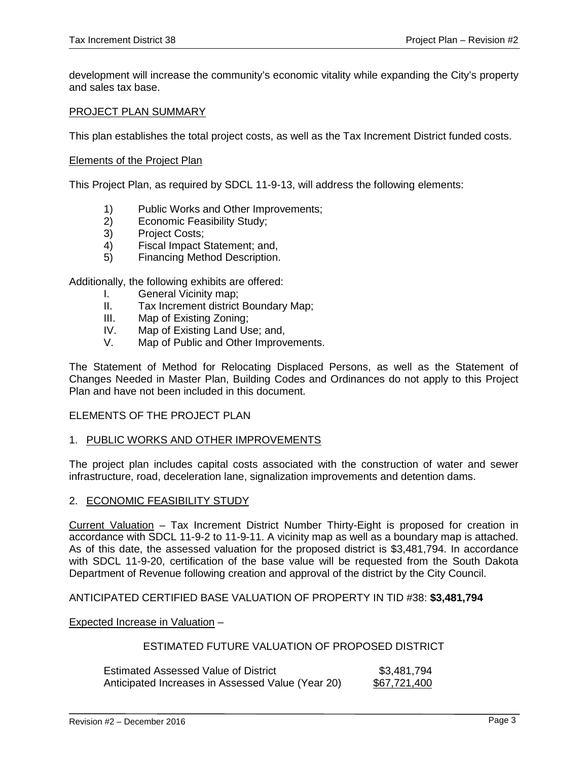development will increase the community's economic vitality while expanding the City's property and sales tax base.

#### PROJECT PLAN SUMMARY

This plan establishes the total project costs, as well as the Tax Increment District funded costs.

#### Elements of the Project Plan

This Project Plan, as required by SDCL 11-9-13, will address the following elements:

- 1) Public Works and Other Improvements;
- 2) Economic Feasibility Study;<br>3) Project Costs;
- Project Costs;
- 4) Fiscal Impact Statement; and,
- 5) Financing Method Description.

Additionally, the following exhibits are offered:

- I. General Vicinity map;
- II. Tax Increment district Boundary Map;
- III. Map of Existing Zoning;
- IV. Map of Existing Land Use; and,
- V. Map of Public and Other Improvements.

The Statement of Method for Relocating Displaced Persons, as well as the Statement of Changes Needed in Master Plan, Building Codes and Ordinances do not apply to this Project Plan and have not been included in this document.

### ELEMENTS OF THE PROJECT PLAN

#### 1. PUBLIC WORKS AND OTHER IMPROVEMENTS

The project plan includes capital costs associated with the construction of water and sewer infrastructure, road, deceleration lane, signalization improvements and detention dams.

#### 2. ECONOMIC FEASIBILITY STUDY

Current Valuation – Tax Increment District Number Thirty-Eight is proposed for creation in accordance with SDCL 11-9-2 to 11-9-11. A vicinity map as well as a boundary map is attached. As of this date, the assessed valuation for the proposed district is \$3,481,794. In accordance with SDCL 11-9-20, certification of the base value will be requested from the South Dakota Department of Revenue following creation and approval of the district by the City Council.

#### ANTICIPATED CERTIFIED BASE VALUATION OF PROPERTY IN TID #38: **\$3,481,794**

#### Expected Increase in Valuation –

#### ESTIMATED FUTURE VALUATION OF PROPOSED DISTRICT

| <b>Estimated Assessed Value of District</b>       | \$3,481,794         |
|---------------------------------------------------|---------------------|
| Anticipated Increases in Assessed Value (Year 20) | <u>\$67,721,400</u> |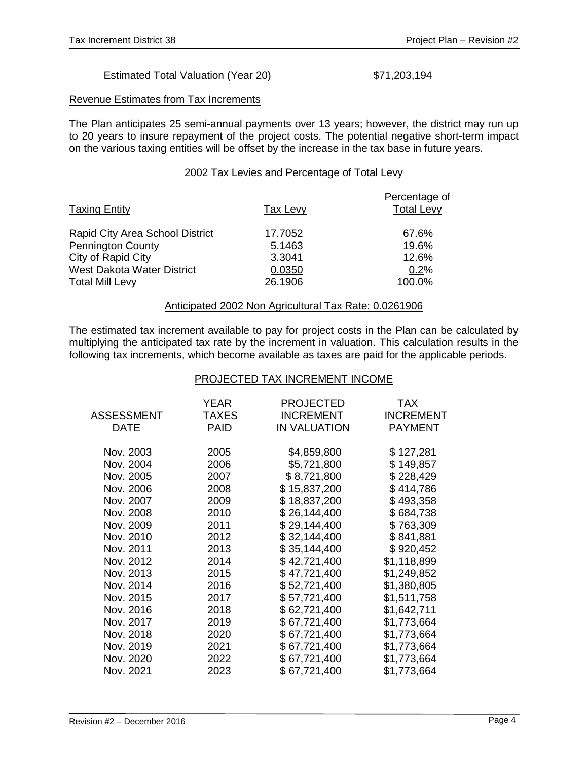#### Estimated Total Valuation (Year 20) \$71,203,194

#### Revenue Estimates from Tax Increments

The Plan anticipates 25 semi-annual payments over 13 years; however, the district may run up to 20 years to insure repayment of the project costs. The potential negative short-term impact on the various taxing entities will be offset by the increase in the tax base in future years.

#### 2002 Tax Levies and Percentage of Total Levy

| Tax Levy | Percentage of<br><b>Total Levy</b> |
|----------|------------------------------------|
| 17.7052  | 67.6%                              |
| 5.1463   | 19.6%                              |
| 3.3041   | 12.6%                              |
| 0.0350   | 0.2%                               |
| 26.1906  | 100.0%                             |
|          |                                    |

#### Anticipated 2002 Non Agricultural Tax Rate: 0.0261906

The estimated tax increment available to pay for project costs in the Plan can be calculated by multiplying the anticipated tax rate by the increment in valuation. This calculation results in the following tax increments, which become available as taxes are paid for the applicable periods.

#### PROJECTED TAX INCREMENT INCOME

| ASSESSMENT<br>DATE | YEAR<br>TAXES<br><b>PAID</b> | <b>PROJECTED</b><br><b>INCREMENT</b><br><b>IN VALUATION</b> | <b>TAX</b><br><b>INCREMENT</b><br><b>PAYMENT</b> |
|--------------------|------------------------------|-------------------------------------------------------------|--------------------------------------------------|
| Nov. 2003          | 2005                         | \$4,859,800                                                 | \$127,281                                        |
| Nov. 2004          | 2006                         | \$5,721,800                                                 | \$149,857                                        |
| Nov. 2005          | 2007                         | \$8,721,800                                                 | \$228,429                                        |
| Nov. 2006          | 2008                         | \$15,837,200                                                | \$414,786                                        |
| Nov. 2007          | 2009                         | \$18,837,200                                                | \$493,358                                        |
| Nov. 2008          | 2010                         | \$26,144,400                                                | \$684,738                                        |
| Nov. 2009          | 2011                         | \$29,144,400                                                | \$763,309                                        |
| Nov. 2010          | 2012                         | \$32,144,400                                                | \$841,881                                        |
| Nov. 2011          | 2013                         | \$35,144,400                                                | \$920,452                                        |
| Nov. 2012          | 2014                         | \$42,721,400                                                | \$1,118,899                                      |
| Nov. 2013          | 2015                         | \$47,721,400                                                | \$1,249,852                                      |
| Nov. 2014          | 2016                         | \$52,721,400                                                | \$1,380,805                                      |
| Nov. 2015          | 2017                         | \$57,721,400                                                | \$1,511,758                                      |
| Nov. 2016          | 2018                         | \$62,721,400                                                | \$1,642,711                                      |
| Nov. 2017          | 2019                         | \$67,721,400                                                | \$1,773,664                                      |
| Nov. 2018          | 2020                         | \$67,721,400                                                | \$1,773,664                                      |
| Nov. 2019          | 2021                         | \$67,721,400                                                | \$1,773,664                                      |
| Nov. 2020          | 2022                         | \$67,721,400                                                | \$1,773,664                                      |
| Nov. 2021          | 2023                         | \$67,721,400                                                | \$1,773,664                                      |
|                    |                              |                                                             |                                                  |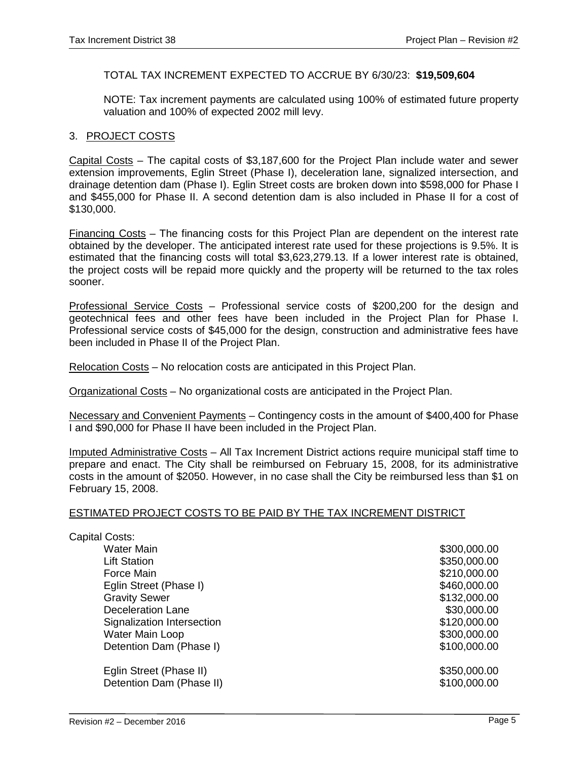### TOTAL TAX INCREMENT EXPECTED TO ACCRUE BY 6/30/23: **\$19,509,604**

NOTE: Tax increment payments are calculated using 100% of estimated future property valuation and 100% of expected 2002 mill levy.

#### 3. PROJECT COSTS

Capital Costs – The capital costs of \$3,187,600 for the Project Plan include water and sewer extension improvements, Eglin Street (Phase I), deceleration lane, signalized intersection, and drainage detention dam (Phase I). Eglin Street costs are broken down into \$598,000 for Phase I and \$455,000 for Phase II. A second detention dam is also included in Phase II for a cost of \$130,000.

Financing Costs – The financing costs for this Project Plan are dependent on the interest rate obtained by the developer. The anticipated interest rate used for these projections is 9.5%. It is estimated that the financing costs will total \$3,623,279.13. If a lower interest rate is obtained, the project costs will be repaid more quickly and the property will be returned to the tax roles sooner.

Professional Service Costs – Professional service costs of \$200,200 for the design and geotechnical fees and other fees have been included in the Project Plan for Phase I. Professional service costs of \$45,000 for the design, construction and administrative fees have been included in Phase II of the Project Plan.

Relocation Costs – No relocation costs are anticipated in this Project Plan.

Organizational Costs – No organizational costs are anticipated in the Project Plan.

Necessary and Convenient Payments – Contingency costs in the amount of \$400,400 for Phase I and \$90,000 for Phase II have been included in the Project Plan.

Imputed Administrative Costs – All Tax Increment District actions require municipal staff time to prepare and enact. The City shall be reimbursed on February 15, 2008, for its administrative costs in the amount of \$2050. However, in no case shall the City be reimbursed less than \$1 on February 15, 2008.

#### ESTIMATED PROJECT COSTS TO BE PAID BY THE TAX INCREMENT DISTRICT

| Capital Costs:             |              |
|----------------------------|--------------|
| <b>Water Main</b>          | \$300,000.00 |
| <b>Lift Station</b>        | \$350,000.00 |
| Force Main                 | \$210,000.00 |
| Eglin Street (Phase I)     | \$460,000.00 |
| <b>Gravity Sewer</b>       | \$132,000.00 |
| Deceleration Lane          | \$30,000.00  |
| Signalization Intersection | \$120,000.00 |
| Water Main Loop            | \$300,000.00 |
| Detention Dam (Phase I)    | \$100,000.00 |
| Eglin Street (Phase II)    | \$350,000.00 |
| Detention Dam (Phase II)   | \$100,000.00 |
|                            |              |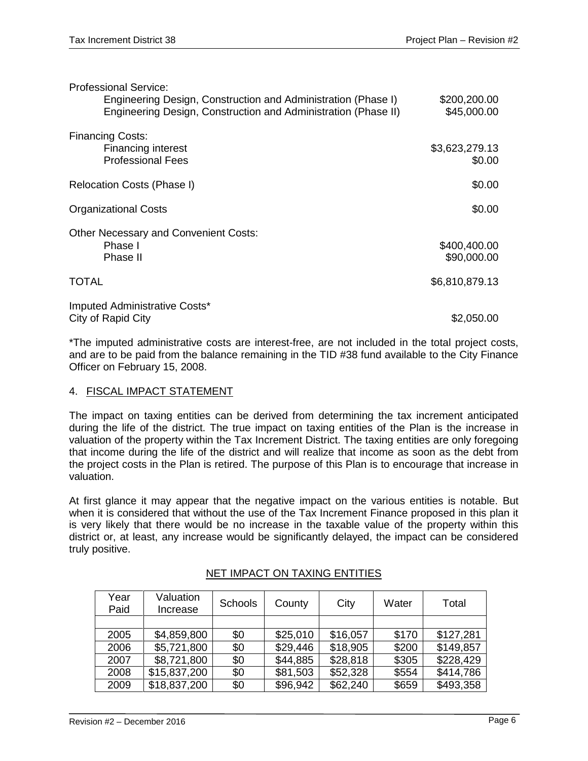| <b>Professional Service:</b>                                                                                                    |                             |
|---------------------------------------------------------------------------------------------------------------------------------|-----------------------------|
| Engineering Design, Construction and Administration (Phase I)<br>Engineering Design, Construction and Administration (Phase II) | \$200,200.00<br>\$45,000.00 |
|                                                                                                                                 |                             |
| <b>Financing Costs:</b>                                                                                                         |                             |
| <b>Financing interest</b>                                                                                                       | \$3,623,279.13              |
| <b>Professional Fees</b>                                                                                                        | \$0.00                      |
| Relocation Costs (Phase I)                                                                                                      | \$0.00                      |
|                                                                                                                                 |                             |
| <b>Organizational Costs</b>                                                                                                     | \$0.00                      |
| <b>Other Necessary and Convenient Costs:</b>                                                                                    |                             |
| Phase I                                                                                                                         | \$400,400.00                |
| Phase II                                                                                                                        | \$90,000.00                 |
| <b>TOTAL</b>                                                                                                                    | \$6,810,879.13              |
|                                                                                                                                 |                             |
| Imputed Administrative Costs*                                                                                                   |                             |
| City of Rapid City                                                                                                              | \$2,050.00                  |

\*The imputed administrative costs are interest-free, are not included in the total project costs, and are to be paid from the balance remaining in the TID #38 fund available to the City Finance Officer on February 15, 2008.

## 4. FISCAL IMPACT STATEMENT

The impact on taxing entities can be derived from determining the tax increment anticipated during the life of the district. The true impact on taxing entities of the Plan is the increase in valuation of the property within the Tax Increment District. The taxing entities are only foregoing that income during the life of the district and will realize that income as soon as the debt from the project costs in the Plan is retired. The purpose of this Plan is to encourage that increase in valuation.

At first glance it may appear that the negative impact on the various entities is notable. But when it is considered that without the use of the Tax Increment Finance proposed in this plan it is very likely that there would be no increase in the taxable value of the property within this district or, at least, any increase would be significantly delayed, the impact can be considered truly positive.

| Year<br>Paid | Valuation<br>Increase | Schools | County   | City     | Water | Total     |
|--------------|-----------------------|---------|----------|----------|-------|-----------|
|              |                       |         |          |          |       |           |
| 2005         | \$4,859,800           | \$0     | \$25,010 | \$16,057 | \$170 | \$127,281 |
| 2006         | \$5,721,800           | \$0     | \$29,446 | \$18,905 | \$200 | \$149,857 |
| 2007         | \$8,721,800           | \$0     | \$44,885 | \$28,818 | \$305 | \$228,429 |
| 2008         | \$15,837,200          | \$0     | \$81,503 | \$52,328 | \$554 | \$414,786 |
| 2009         | \$18,837,200          | \$0     | \$96,942 | \$62,240 | \$659 | \$493,358 |

# NET IMPACT ON TAXING ENTITIES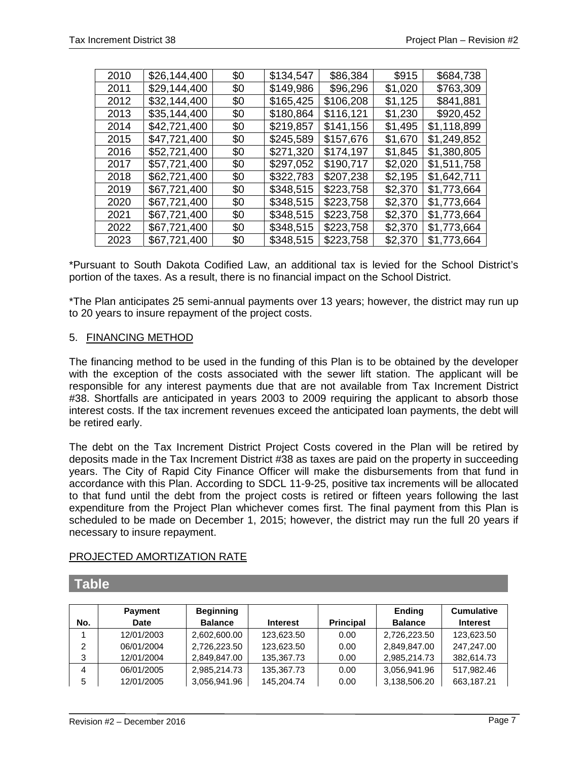| \$0<br>2010<br>\$26,144,400<br>\$134,547<br>\$86,384<br>\$915<br>\$684,738<br>\$29,144,400<br>\$149,986<br>\$96,296<br>\$1,020<br>\$763,309<br>2011<br>\$0<br>\$32,144,400<br>\$165,425<br>\$106,208<br>\$841,881<br>\$1,125<br>2012<br>\$0<br>2013<br>\$35,144,400<br>\$116,121<br>\$920,452<br>\$180,864<br>\$1,230<br>\$0<br>\$42,721,400<br>\$219,857<br>\$1,118,899<br>\$141,156<br>2014<br>\$1,495<br>\$0<br>\$47,721,400<br>\$245,589<br>\$1,249,852<br>2015<br>\$157,676<br>\$1,670<br>\$0<br>\$52,721,400<br>\$271,320<br>\$174,197<br>\$1,845<br>\$1,380,805<br>2016<br>\$0<br>\$1,511,758<br>\$57,721,400<br>\$297,052<br>\$190,717<br>\$2,020<br>2017<br>\$0<br>\$322,783<br>2018<br>\$62,721,400<br>\$207,238<br>\$2,195<br>\$1,642,711<br>\$0<br>\$67,721,400<br>\$348,515<br>\$223,758<br>\$1,773,664<br>2019<br>\$2,370<br>\$0<br>\$67,721,400<br>\$348,515<br>\$223,758<br>\$1,773,664<br>\$0<br>\$2,370<br>2020<br>\$348,515<br>\$67,721,400<br>\$223,758<br>\$2,370<br>\$1,773,664<br>2021<br>\$0<br>\$67,721,400<br>\$348,515<br>\$223,758<br>\$1,773,664<br>\$2,370<br>\$0<br>2022<br>\$67,721,400<br>\$348,515<br>\$223,758<br>\$1,773,664<br>2023<br>\$2,370<br>\$0 |  |  |  |  |
|--------------------------------------------------------------------------------------------------------------------------------------------------------------------------------------------------------------------------------------------------------------------------------------------------------------------------------------------------------------------------------------------------------------------------------------------------------------------------------------------------------------------------------------------------------------------------------------------------------------------------------------------------------------------------------------------------------------------------------------------------------------------------------------------------------------------------------------------------------------------------------------------------------------------------------------------------------------------------------------------------------------------------------------------------------------------------------------------------------------------------------------------------------------------------------------------|--|--|--|--|
|                                                                                                                                                                                                                                                                                                                                                                                                                                                                                                                                                                                                                                                                                                                                                                                                                                                                                                                                                                                                                                                                                                                                                                                            |  |  |  |  |
|                                                                                                                                                                                                                                                                                                                                                                                                                                                                                                                                                                                                                                                                                                                                                                                                                                                                                                                                                                                                                                                                                                                                                                                            |  |  |  |  |
|                                                                                                                                                                                                                                                                                                                                                                                                                                                                                                                                                                                                                                                                                                                                                                                                                                                                                                                                                                                                                                                                                                                                                                                            |  |  |  |  |
|                                                                                                                                                                                                                                                                                                                                                                                                                                                                                                                                                                                                                                                                                                                                                                                                                                                                                                                                                                                                                                                                                                                                                                                            |  |  |  |  |
|                                                                                                                                                                                                                                                                                                                                                                                                                                                                                                                                                                                                                                                                                                                                                                                                                                                                                                                                                                                                                                                                                                                                                                                            |  |  |  |  |
|                                                                                                                                                                                                                                                                                                                                                                                                                                                                                                                                                                                                                                                                                                                                                                                                                                                                                                                                                                                                                                                                                                                                                                                            |  |  |  |  |
|                                                                                                                                                                                                                                                                                                                                                                                                                                                                                                                                                                                                                                                                                                                                                                                                                                                                                                                                                                                                                                                                                                                                                                                            |  |  |  |  |
|                                                                                                                                                                                                                                                                                                                                                                                                                                                                                                                                                                                                                                                                                                                                                                                                                                                                                                                                                                                                                                                                                                                                                                                            |  |  |  |  |
|                                                                                                                                                                                                                                                                                                                                                                                                                                                                                                                                                                                                                                                                                                                                                                                                                                                                                                                                                                                                                                                                                                                                                                                            |  |  |  |  |
|                                                                                                                                                                                                                                                                                                                                                                                                                                                                                                                                                                                                                                                                                                                                                                                                                                                                                                                                                                                                                                                                                                                                                                                            |  |  |  |  |
|                                                                                                                                                                                                                                                                                                                                                                                                                                                                                                                                                                                                                                                                                                                                                                                                                                                                                                                                                                                                                                                                                                                                                                                            |  |  |  |  |
|                                                                                                                                                                                                                                                                                                                                                                                                                                                                                                                                                                                                                                                                                                                                                                                                                                                                                                                                                                                                                                                                                                                                                                                            |  |  |  |  |
|                                                                                                                                                                                                                                                                                                                                                                                                                                                                                                                                                                                                                                                                                                                                                                                                                                                                                                                                                                                                                                                                                                                                                                                            |  |  |  |  |
|                                                                                                                                                                                                                                                                                                                                                                                                                                                                                                                                                                                                                                                                                                                                                                                                                                                                                                                                                                                                                                                                                                                                                                                            |  |  |  |  |

\*Pursuant to South Dakota Codified Law, an additional tax is levied for the School District's portion of the taxes. As a result, there is no financial impact on the School District.

\*The Plan anticipates 25 semi-annual payments over 13 years; however, the district may run up to 20 years to insure repayment of the project costs.

## 5. FINANCING METHOD

The financing method to be used in the funding of this Plan is to be obtained by the developer with the exception of the costs associated with the sewer lift station. The applicant will be responsible for any interest payments due that are not available from Tax Increment District #38. Shortfalls are anticipated in years 2003 to 2009 requiring the applicant to absorb those interest costs. If the tax increment revenues exceed the anticipated loan payments, the debt will be retired early.

The debt on the Tax Increment District Project Costs covered in the Plan will be retired by deposits made in the Tax Increment District #38 as taxes are paid on the property in succeeding years. The City of Rapid City Finance Officer will make the disbursements from that fund in accordance with this Plan. According to SDCL 11-9-25, positive tax increments will be allocated to that fund until the debt from the project costs is retired or fifteen years following the last expenditure from the Project Plan whichever comes first. The final payment from this Plan is scheduled to be made on December 1, 2015; however, the district may run the full 20 years if necessary to insure repayment.

## PROJECTED AMORTIZATION RATE

|     | <b>Payment</b> | <b>Beginning</b> |                 |                  | <b>Ending</b>  | <b>Cumulative</b> |
|-----|----------------|------------------|-----------------|------------------|----------------|-------------------|
| No. | Date           | <b>Balance</b>   | <b>Interest</b> | <b>Principal</b> | <b>Balance</b> | <b>Interest</b>   |
|     | 12/01/2003     | 2,602,600.00     | 123,623.50      | 0.00             | 2,726,223.50   | 123,623.50        |
| 2   | 06/01/2004     | 2,726,223.50     | 123,623.50      | 0.00             | 2,849,847.00   | 247,247.00        |
| 3   | 12/01/2004     | 2,849,847.00     | 135,367.73      | 0.00             | 2,985,214.73   | 382,614.73        |
| 4   | 06/01/2005     | 2,985,214.73     | 135,367.73      | 0.00             | 3,056,941.96   | 517,982.46        |
| 5   | 12/01/2005     | 3,056,941.96     | 145,204.74      | 0.00             | 3,138,506.20   | 663,187.21        |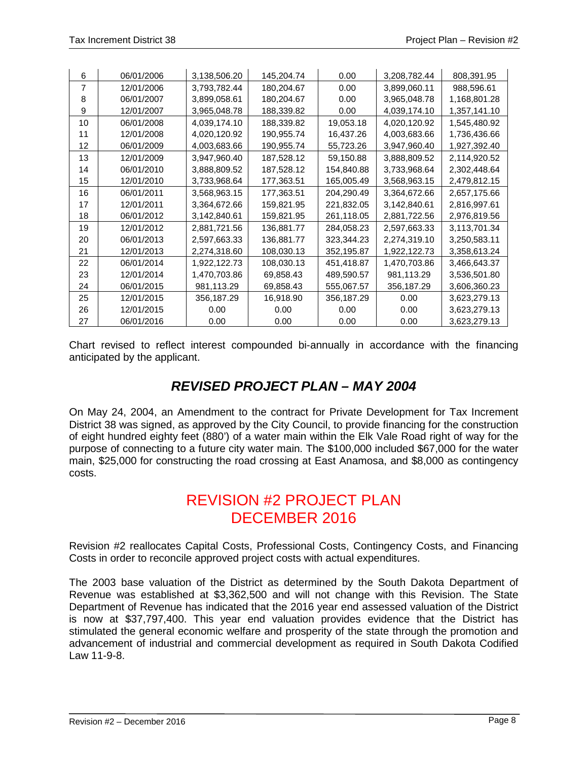| 6              | 06/01/2006 | 3,138,506.20 | 145,204.74 | 0.00       | 3,208,782.44 | 808,391.95   |
|----------------|------------|--------------|------------|------------|--------------|--------------|
| $\overline{7}$ | 12/01/2006 | 3,793,782.44 | 180,204.67 | 0.00       | 3,899,060.11 | 988,596.61   |
| 8              | 06/01/2007 | 3,899,058.61 | 180,204.67 | 0.00       | 3,965,048.78 | 1,168,801.28 |
| 9              | 12/01/2007 | 3,965,048.78 | 188,339.82 | 0.00       | 4,039,174.10 | 1,357,141.10 |
| 10             | 06/01/2008 | 4,039,174.10 | 188,339.82 | 19,053.18  | 4,020,120.92 | 1,545,480.92 |
| 11             | 12/01/2008 | 4,020,120.92 | 190,955.74 | 16,437.26  | 4,003,683.66 | 1,736,436.66 |
| 12             | 06/01/2009 | 4,003,683.66 | 190,955.74 | 55,723.26  | 3,947,960.40 | 1,927,392.40 |
| 13             | 12/01/2009 | 3,947,960.40 | 187,528.12 | 59,150.88  | 3,888,809.52 | 2,114,920.52 |
| 14             | 06/01/2010 | 3,888,809.52 | 187,528.12 | 154,840.88 | 3,733,968.64 | 2,302,448.64 |
| 15             | 12/01/2010 | 3,733,968.64 | 177,363.51 | 165,005.49 | 3,568,963.15 | 2,479,812.15 |
| 16             | 06/01/2011 | 3,568,963.15 | 177,363.51 | 204.290.49 | 3,364,672.66 | 2,657,175.66 |
| 17             | 12/01/2011 | 3,364,672.66 | 159,821.95 | 221,832.05 | 3,142,840.61 | 2,816,997.61 |
| 18             | 06/01/2012 | 3,142,840.61 | 159,821.95 | 261,118.05 | 2,881,722.56 | 2,976,819.56 |
| 19             | 12/01/2012 | 2,881,721.56 | 136,881.77 | 284,058.23 | 2,597,663.33 | 3,113,701.34 |
| 20             | 06/01/2013 | 2,597,663.33 | 136,881.77 | 323,344.23 | 2,274,319.10 | 3,250,583.11 |
| 21             | 12/01/2013 | 2,274,318.60 | 108,030.13 | 352,195.87 | 1,922,122.73 | 3,358,613.24 |
| 22             | 06/01/2014 | 1,922,122.73 | 108,030.13 | 451,418.87 | 1,470,703.86 | 3,466,643.37 |
| 23             | 12/01/2014 | 1,470,703.86 | 69,858.43  | 489,590.57 | 981,113.29   | 3,536,501.80 |
| 24             | 06/01/2015 | 981,113.29   | 69,858.43  | 555,067.57 | 356,187.29   | 3,606,360.23 |
| 25             | 12/01/2015 | 356,187.29   | 16,918.90  | 356,187.29 | 0.00         | 3,623,279.13 |
| 26             | 12/01/2015 | 0.00         | 0.00       | 0.00       | 0.00         | 3,623,279.13 |
| 27             | 06/01/2016 | 0.00         | 0.00       | 0.00       | 0.00         | 3,623,279.13 |

Chart revised to reflect interest compounded bi-annually in accordance with the financing anticipated by the applicant.

# *REVISED PROJECT PLAN – MAY 2004*

On May 24, 2004, an Amendment to the contract for Private Development for Tax Increment District 38 was signed, as approved by the City Council, to provide financing for the construction of eight hundred eighty feet (880') of a water main within the Elk Vale Road right of way for the purpose of connecting to a future city water main. The \$100,000 included \$67,000 for the water main, \$25,000 for constructing the road crossing at East Anamosa, and \$8,000 as contingency costs.

# REVISION #2 PROJECT PLAN DECEMBER 2016

Revision #2 reallocates Capital Costs, Professional Costs, Contingency Costs, and Financing Costs in order to reconcile approved project costs with actual expenditures.

The 2003 base valuation of the District as determined by the South Dakota Department of Revenue was established at \$3,362,500 and will not change with this Revision. The State Department of Revenue has indicated that the 2016 year end assessed valuation of the District is now at \$37,797,400. This year end valuation provides evidence that the District has stimulated the general economic welfare and prosperity of the state through the promotion and advancement of industrial and commercial development as required in South Dakota Codified Law 11-9-8.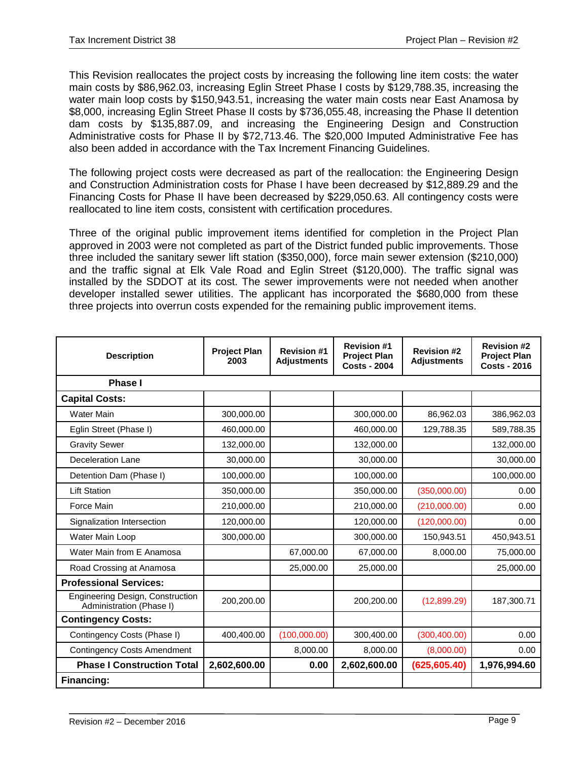This Revision reallocates the project costs by increasing the following line item costs: the water main costs by \$86,962.03, increasing Eglin Street Phase I costs by \$129,788.35, increasing the water main loop costs by \$150,943.51, increasing the water main costs near East Anamosa by \$8,000, increasing Eglin Street Phase II costs by \$736,055.48, increasing the Phase II detention dam costs by \$135,887.09, and increasing the Engineering Design and Construction Administrative costs for Phase II by \$72,713.46. The \$20,000 Imputed Administrative Fee has also been added in accordance with the Tax Increment Financing Guidelines.

The following project costs were decreased as part of the reallocation: the Engineering Design and Construction Administration costs for Phase I have been decreased by \$12,889.29 and the Financing Costs for Phase II have been decreased by \$229,050.63. All contingency costs were reallocated to line item costs, consistent with certification procedures.

Three of the original public improvement items identified for completion in the Project Plan approved in 2003 were not completed as part of the District funded public improvements. Those three included the sanitary sewer lift station (\$350,000), force main sewer extension (\$210,000) and the traffic signal at Elk Vale Road and Eglin Street (\$120,000). The traffic signal was installed by the SDDOT at its cost. The sewer improvements were not needed when another developer installed sewer utilities. The applicant has incorporated the \$680,000 from these three projects into overrun costs expended for the remaining public improvement items.

| <b>Description</b>                                           | <b>Project Plan</b><br>2003 | <b>Revision #1</b><br><b>Adjustments</b> | <b>Revision #1</b><br><b>Project Plan</b><br><b>Costs - 2004</b> | <b>Revision #2</b><br><b>Adjustments</b> | <b>Revision #2</b><br><b>Project Plan</b><br><b>Costs - 2016</b> |
|--------------------------------------------------------------|-----------------------------|------------------------------------------|------------------------------------------------------------------|------------------------------------------|------------------------------------------------------------------|
| <b>Phase I</b>                                               |                             |                                          |                                                                  |                                          |                                                                  |
| <b>Capital Costs:</b>                                        |                             |                                          |                                                                  |                                          |                                                                  |
| <b>Water Main</b>                                            | 300,000.00                  |                                          | 300,000.00                                                       | 86,962.03                                | 386,962.03                                                       |
| Eglin Street (Phase I)                                       | 460,000.00                  |                                          | 460,000.00                                                       | 129,788.35                               | 589,788.35                                                       |
| <b>Gravity Sewer</b>                                         | 132,000.00                  |                                          | 132,000.00                                                       |                                          | 132,000.00                                                       |
| Deceleration Lane                                            | 30,000.00                   |                                          | 30,000.00                                                        |                                          | 30,000.00                                                        |
| Detention Dam (Phase I)                                      | 100,000.00                  |                                          | 100,000.00                                                       |                                          | 100,000.00                                                       |
| <b>Lift Station</b>                                          | 350,000.00                  |                                          | 350,000.00                                                       | (350,000.00)                             | 0.00                                                             |
| Force Main                                                   | 210,000.00                  |                                          | 210,000.00                                                       | (210,000.00)                             | 0.00                                                             |
| Signalization Intersection                                   | 120,000.00                  |                                          | 120,000.00                                                       | (120,000.00)                             | 0.00                                                             |
| Water Main Loop                                              | 300,000.00                  |                                          | 300,000.00                                                       | 150,943.51                               | 450,943.51                                                       |
| Water Main from E Anamosa                                    |                             | 67,000.00                                | 67,000.00                                                        | 8,000.00                                 | 75,000.00                                                        |
| Road Crossing at Anamosa                                     |                             | 25,000.00                                | 25,000.00                                                        |                                          | 25,000.00                                                        |
| <b>Professional Services:</b>                                |                             |                                          |                                                                  |                                          |                                                                  |
| Engineering Design, Construction<br>Administration (Phase I) | 200,200.00                  |                                          | 200,200.00                                                       | (12,899.29)                              | 187,300.71                                                       |
| <b>Contingency Costs:</b>                                    |                             |                                          |                                                                  |                                          |                                                                  |
| Contingency Costs (Phase I)                                  | 400,400.00                  | (100,000.00)                             | 300,400.00                                                       | (300, 400.00)                            | 0.00                                                             |
| <b>Contingency Costs Amendment</b>                           |                             | 8,000.00                                 | 8,000.00                                                         | (8,000.00)                               | 0.00                                                             |
| <b>Phase I Construction Total</b>                            | 2,602,600.00                | 0.00                                     | 2,602,600.00                                                     | (625, 605.40)                            | 1,976,994.60                                                     |
| Financing:                                                   |                             |                                          |                                                                  |                                          |                                                                  |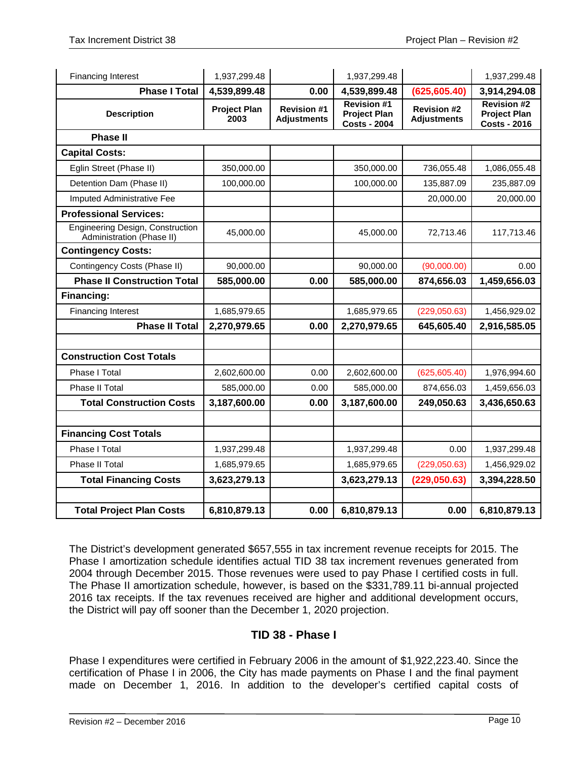| <b>Financing Interest</b>                                     | 1,937,299.48                |                                          | 1,937,299.48                                                     |                                          | 1,937,299.48                                                     |
|---------------------------------------------------------------|-----------------------------|------------------------------------------|------------------------------------------------------------------|------------------------------------------|------------------------------------------------------------------|
| <b>Phase I Total</b>                                          | 4,539,899.48                | 0.00                                     | 4,539,899.48                                                     | (625, 605.40)                            | 3,914,294.08                                                     |
| <b>Description</b>                                            | <b>Project Plan</b><br>2003 | <b>Revision #1</b><br><b>Adjustments</b> | <b>Revision #1</b><br><b>Project Plan</b><br><b>Costs - 2004</b> | <b>Revision #2</b><br><b>Adjustments</b> | <b>Revision #2</b><br><b>Project Plan</b><br><b>Costs - 2016</b> |
| <b>Phase II</b>                                               |                             |                                          |                                                                  |                                          |                                                                  |
| <b>Capital Costs:</b>                                         |                             |                                          |                                                                  |                                          |                                                                  |
| Eglin Street (Phase II)                                       | 350,000.00                  |                                          | 350,000.00                                                       | 736,055.48                               | 1,086,055.48                                                     |
| Detention Dam (Phase II)                                      | 100,000.00                  |                                          | 100,000.00                                                       | 135,887.09                               | 235,887.09                                                       |
| Imputed Administrative Fee                                    |                             |                                          |                                                                  | 20,000.00                                | 20,000.00                                                        |
| <b>Professional Services:</b>                                 |                             |                                          |                                                                  |                                          |                                                                  |
| Engineering Design, Construction<br>Administration (Phase II) | 45,000.00                   |                                          | 45,000.00                                                        | 72,713.46                                | 117,713.46                                                       |
| <b>Contingency Costs:</b>                                     |                             |                                          |                                                                  |                                          |                                                                  |
| Contingency Costs (Phase II)                                  | 90,000.00                   |                                          | 90,000.00                                                        | (90,000.00)                              | 0.00                                                             |
| <b>Phase II Construction Total</b>                            | 585,000.00                  | 0.00                                     | 585,000.00                                                       | 874,656.03                               | 1,459,656.03                                                     |
| Financing:                                                    |                             |                                          |                                                                  |                                          |                                                                  |
| <b>Financing Interest</b>                                     | 1,685,979.65                |                                          | 1,685,979.65                                                     | (229,050.63)                             | 1,456,929.02                                                     |
| <b>Phase II Total</b>                                         | 2,270,979.65                | 0.00                                     | 2,270,979.65                                                     | 645,605.40                               | 2,916,585.05                                                     |
|                                                               |                             |                                          |                                                                  |                                          |                                                                  |
| <b>Construction Cost Totals</b>                               |                             |                                          |                                                                  |                                          |                                                                  |
| Phase I Total                                                 | 2,602,600.00                | 0.00                                     | 2,602,600.00                                                     | (625, 605.40)                            | 1,976,994.60                                                     |
| Phase II Total                                                | 585,000.00                  | 0.00                                     | 585,000.00                                                       | 874,656.03                               | 1,459,656.03                                                     |
| <b>Total Construction Costs</b>                               | 3,187,600.00                | 0.00                                     | 3,187,600.00                                                     | 249,050.63                               | 3,436,650.63                                                     |
|                                                               |                             |                                          |                                                                  |                                          |                                                                  |
| <b>Financing Cost Totals</b>                                  |                             |                                          |                                                                  |                                          |                                                                  |
| Phase I Total                                                 | 1,937,299.48                |                                          | 1,937,299.48                                                     | 0.00                                     | 1,937,299.48                                                     |
| Phase II Total                                                | 1,685,979.65                |                                          | 1,685,979.65                                                     | (229,050.63)                             | 1,456,929.02                                                     |
| <b>Total Financing Costs</b>                                  | 3,623,279.13                |                                          | 3,623,279.13                                                     | (229, 050.63)                            | 3,394,228.50                                                     |
|                                                               |                             |                                          |                                                                  |                                          |                                                                  |
| <b>Total Project Plan Costs</b>                               | 6,810,879.13                | 0.00                                     | 6,810,879.13                                                     | 0.00                                     | 6,810,879.13                                                     |

The District's development generated \$657,555 in tax increment revenue receipts for 2015. The Phase I amortization schedule identifies actual TID 38 tax increment revenues generated from 2004 through December 2015. Those revenues were used to pay Phase I certified costs in full. The Phase II amortization schedule, however, is based on the \$331,789.11 bi-annual projected 2016 tax receipts. If the tax revenues received are higher and additional development occurs, the District will pay off sooner than the December 1, 2020 projection.

# **TID 38 - Phase I**

Phase I expenditures were certified in February 2006 in the amount of \$1,922,223.40. Since the certification of Phase I in 2006, the City has made payments on Phase I and the final payment made on December 1, 2016. In addition to the developer's certified capital costs of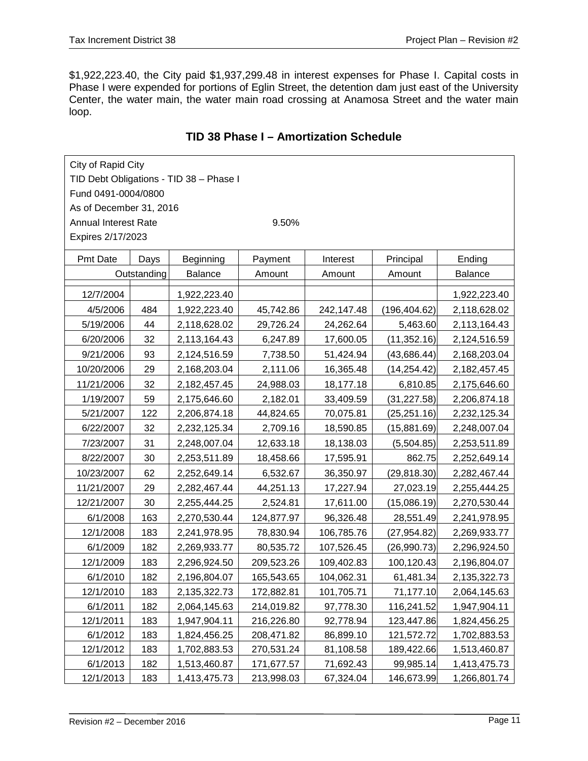\$1,922,223.40, the City paid \$1,937,299.48 in interest expenses for Phase I. Capital costs in Phase I were expended for portions of Eglin Street, the detention dam just east of the University Center, the water main, the water main road crossing at Anamosa Street and the water main loop.

| City of Rapid City                      |      |              |            |            |               |              |  |  |  |
|-----------------------------------------|------|--------------|------------|------------|---------------|--------------|--|--|--|
| TID Debt Obligations - TID 38 - Phase I |      |              |            |            |               |              |  |  |  |
| Fund 0491-0004/0800                     |      |              |            |            |               |              |  |  |  |
| As of December 31, 2016                 |      |              |            |            |               |              |  |  |  |
| <b>Annual Interest Rate</b><br>9.50%    |      |              |            |            |               |              |  |  |  |
| Expires 2/17/2023                       |      |              |            |            |               |              |  |  |  |
| Pmt Date                                | Days | Beginning    | Payment    | Interest   | Principal     | Ending       |  |  |  |
| Outstanding                             |      | Balance      | Amount     | Amount     | Amount        | Balance      |  |  |  |
| 12/7/2004                               |      |              |            |            |               | 1,922,223.40 |  |  |  |
| 4/5/2006                                | 484  | 1,922,223.40 | 45,742.86  | 242,147.48 | (196, 404.62) | 2,118,628.02 |  |  |  |
| 5/19/2006                               | 44   | 2,118,628.02 | 29,726.24  | 24,262.64  | 5,463.60      | 2,113,164.43 |  |  |  |
| 6/20/2006                               | 32   | 2,113,164.43 | 6,247.89   | 17,600.05  | (11, 352.16)  | 2,124,516.59 |  |  |  |
| 9/21/2006                               | 93   | 2,124,516.59 | 7,738.50   | 51,424.94  | (43, 686.44)  | 2,168,203.04 |  |  |  |
| 10/20/2006                              | 29   | 2,168,203.04 | 2,111.06   | 16,365.48  | (14, 254.42)  | 2,182,457.45 |  |  |  |
| 11/21/2006                              | 32   | 2,182,457.45 | 24,988.03  | 18,177.18  | 6,810.85      | 2,175,646.60 |  |  |  |
| 1/19/2007                               | 59   | 2,175,646.60 | 2,182.01   | 33,409.59  | (31, 227.58)  | 2,206,874.18 |  |  |  |
| 5/21/2007                               | 122  | 2,206,874.18 | 44,824.65  | 70,075.81  | (25, 251.16)  | 2,232,125.34 |  |  |  |
| 6/22/2007                               | 32   | 2,232,125.34 | 2,709.16   | 18,590.85  | (15,881.69)   | 2,248,007.04 |  |  |  |
| 7/23/2007                               | 31   | 2,248,007.04 | 12,633.18  | 18,138.03  | (5,504.85)    | 2,253,511.89 |  |  |  |
| 8/22/2007                               | 30   | 2,253,511.89 | 18,458.66  | 17,595.91  | 862.75        | 2,252,649.14 |  |  |  |
| 10/23/2007                              | 62   | 2,252,649.14 | 6,532.67   | 36,350.97  | (29, 818.30)  | 2,282,467.44 |  |  |  |
| 11/21/2007                              | 29   | 2,282,467.44 | 44,251.13  | 17,227.94  | 27,023.19     | 2,255,444.25 |  |  |  |
| 12/21/2007                              | 30   | 2,255,444.25 | 2,524.81   | 17,611.00  | (15,086.19)   | 2,270,530.44 |  |  |  |
| 6/1/2008                                | 163  | 2,270,530.44 | 124,877.97 | 96,326.48  | 28,551.49     | 2,241,978.95 |  |  |  |
| 12/1/2008                               | 183  | 2,241,978.95 | 78,830.94  | 106,785.76 | (27, 954.82)  | 2,269,933.77 |  |  |  |
| 6/1/2009                                | 182  | 2,269,933.77 | 80,535.72  | 107,526.45 | (26,990.73)   | 2,296,924.50 |  |  |  |
| 12/1/2009                               | 183  | 2,296,924.50 | 209,523.26 | 109,402.83 | 100,120.43    | 2,196,804.07 |  |  |  |
| 6/1/2010                                | 182  | 2,196,804.07 | 165,543.65 | 104,062.31 | 61,481.34     | 2,135,322.73 |  |  |  |
| 12/1/2010                               | 183  | 2,135,322.73 | 172,882.81 | 101,705.71 | 71,177.10     | 2,064,145.63 |  |  |  |
| 6/1/2011                                | 182  | 2,064,145.63 | 214,019.82 | 97,778.30  | 116,241.52    | 1,947,904.11 |  |  |  |
| 12/1/2011                               | 183  | 1,947,904.11 | 216,226.80 | 92,778.94  | 123,447.86    | 1,824,456.25 |  |  |  |
| 6/1/2012                                | 183  | 1,824,456.25 | 208,471.82 | 86,899.10  | 121,572.72    | 1,702,883.53 |  |  |  |
| 12/1/2012                               | 183  | 1,702,883.53 | 270,531.24 | 81,108.58  | 189,422.66    | 1,513,460.87 |  |  |  |
| 6/1/2013                                | 182  | 1,513,460.87 | 171,677.57 | 71,692.43  | 99,985.14     | 1,413,475.73 |  |  |  |
| 12/1/2013                               | 183  | 1,413,475.73 | 213,998.03 | 67,324.04  | 146,673.99    | 1,266,801.74 |  |  |  |

# **TID 38 Phase I – Amortization Schedule**